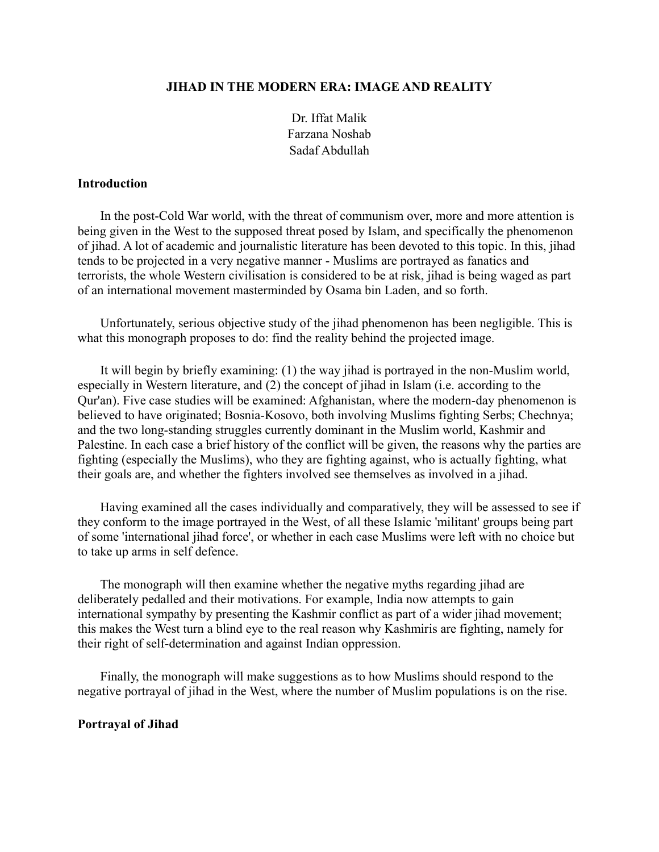# **JIHAD IN THE MODERN ERA: IMAGE AND REALITY**

Dr. Iffat Malik Farzana Noshab Sadaf Abdullah

# **Introduction**

In the post-Cold War world, with the threat of communism over, more and more attention is being given in the West to the supposed threat posed by Islam, and specifically the phenomenon of jihad. A lot of academic and journalistic literature has been devoted to this topic. In this, jihad tends to be projected in a very negative manner - Muslims are portrayed as fanatics and terrorists, the whole Western civilisation is considered to be at risk, jihad is being waged as part of an international movement masterminded by Osama bin Laden, and so forth.

Unfortunately, serious objective study of the jihad phenomenon has been negligible. This is what this monograph proposes to do: find the reality behind the projected image.

It will begin by briefly examining: (1) the way jihad is portrayed in the non-Muslim world, especially in Western literature, and (2) the concept of jihad in Islam (i.e. according to the Qur'an). Five case studies will be examined: Afghanistan, where the modern-day phenomenon is believed to have originated; Bosnia-Kosovo, both involving Muslims fighting Serbs; Chechnya; and the two long-standing struggles currently dominant in the Muslim world, Kashmir and Palestine. In each case a brief history of the conflict will be given, the reasons why the parties are fighting (especially the Muslims), who they are fighting against, who is actually fighting, what their goals are, and whether the fighters involved see themselves as involved in a jihad.

Having examined all the cases individually and comparatively, they will be assessed to see if they conform to the image portrayed in the West, of all these Islamic 'militant' groups being part of some 'international jihad force', or whether in each case Muslims were left with no choice but to take up arms in self defence.

The monograph will then examine whether the negative myths regarding jihad are deliberately pedalled and their motivations. For example, India now attempts to gain international sympathy by presenting the Kashmir conflict as part of a wider jihad movement; this makes the West turn a blind eye to the real reason why Kashmiris are fighting, namely for their right of self-determination and against Indian oppression.

Finally, the monograph will make suggestions as to how Muslims should respond to the negative portrayal of jihad in the West, where the number of Muslim populations is on the rise.

# **Portrayal of Jihad**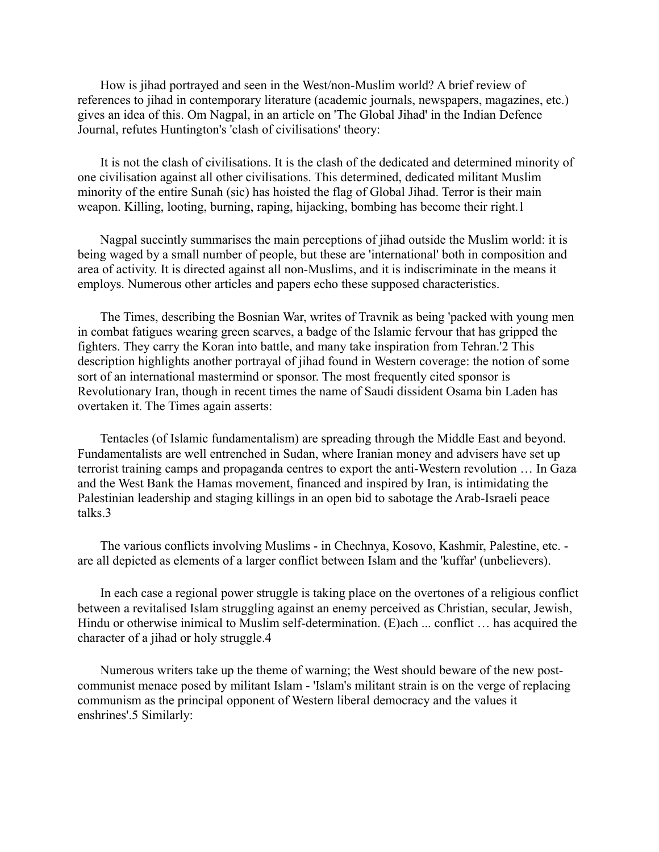How is jihad portrayed and seen in the West/non-Muslim world? A brief review of references to jihad in contemporary literature (academic journals, newspapers, magazines, etc.) gives an idea of this. Om Nagpal, in an article on 'The Global Jihad' in the Indian Defence Journal, refutes Huntington's 'clash of civilisations' theory:

It is not the clash of civilisations. It is the clash of the dedicated and determined minority of one civilisation against all other civilisations. This determined, dedicated militant Muslim minority of the entire Sunah (sic) has hoisted the flag of Global Jihad. Terror is their main weapon. Killing, looting, burning, raping, hijacking, bombing has become their right.1

Nagpal succintly summarises the main perceptions of jihad outside the Muslim world: it is being waged by a small number of people, but these are 'international' both in composition and area of activity. It is directed against all non-Muslims, and it is indiscriminate in the means it employs. Numerous other articles and papers echo these supposed characteristics.

The Times, describing the Bosnian War, writes of Travnik as being 'packed with young men in combat fatigues wearing green scarves, a badge of the Islamic fervour that has gripped the fighters. They carry the Koran into battle, and many take inspiration from Tehran.'2 This description highlights another portrayal of jihad found in Western coverage: the notion of some sort of an international mastermind or sponsor. The most frequently cited sponsor is Revolutionary Iran, though in recent times the name of Saudi dissident Osama bin Laden has overtaken it. The Times again asserts:

Tentacles (of Islamic fundamentalism) are spreading through the Middle East and beyond. Fundamentalists are well entrenched in Sudan, where Iranian money and advisers have set up terrorist training camps and propaganda centres to export the anti-Western revolution … In Gaza and the West Bank the Hamas movement, financed and inspired by Iran, is intimidating the Palestinian leadership and staging killings in an open bid to sabotage the Arab-Israeli peace talks.3

The various conflicts involving Muslims - in Chechnya, Kosovo, Kashmir, Palestine, etc. are all depicted as elements of a larger conflict between Islam and the 'kuffar' (unbelievers).

In each case a regional power struggle is taking place on the overtones of a religious conflict between a revitalised Islam struggling against an enemy perceived as Christian, secular, Jewish, Hindu or otherwise inimical to Muslim self-determination. (E)ach ... conflict … has acquired the character of a jihad or holy struggle.4

Numerous writers take up the theme of warning; the West should beware of the new postcommunist menace posed by militant Islam - 'Islam's militant strain is on the verge of replacing communism as the principal opponent of Western liberal democracy and the values it enshrines'.5 Similarly: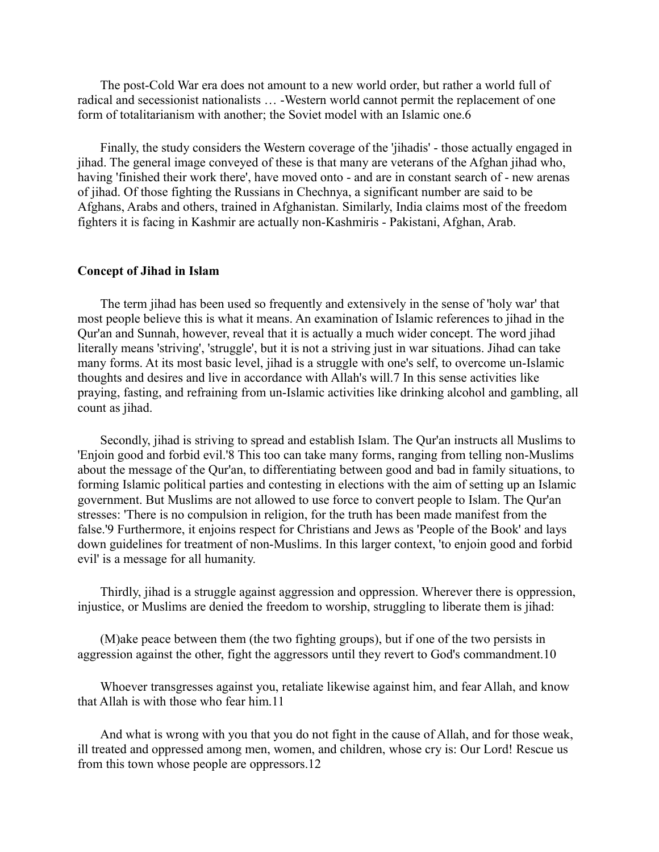The post-Cold War era does not amount to a new world order, but rather a world full of radical and secessionist nationalists … -Western world cannot permit the replacement of one form of totalitarianism with another; the Soviet model with an Islamic one.6

Finally, the study considers the Western coverage of the 'jihadis' - those actually engaged in jihad. The general image conveyed of these is that many are veterans of the Afghan jihad who, having 'finished their work there', have moved onto - and are in constant search of - new arenas of jihad. Of those fighting the Russians in Chechnya, a significant number are said to be Afghans, Arabs and others, trained in Afghanistan. Similarly, India claims most of the freedom fighters it is facing in Kashmir are actually non-Kashmiris - Pakistani, Afghan, Arab.

### **Concept of Jihad in Islam**

The term jihad has been used so frequently and extensively in the sense of 'holy war' that most people believe this is what it means. An examination of Islamic references to jihad in the Qur'an and Sunnah, however, reveal that it is actually a much wider concept. The word jihad literally means 'striving', 'struggle', but it is not a striving just in war situations. Jihad can take many forms. At its most basic level, jihad is a struggle with one's self, to overcome un-Islamic thoughts and desires and live in accordance with Allah's will.7 In this sense activities like praying, fasting, and refraining from un-Islamic activities like drinking alcohol and gambling, all count as jihad.

Secondly, jihad is striving to spread and establish Islam. The Qur'an instructs all Muslims to 'Enjoin good and forbid evil.'8 This too can take many forms, ranging from telling non-Muslims about the message of the Qur'an, to differentiating between good and bad in family situations, to forming Islamic political parties and contesting in elections with the aim of setting up an Islamic government. But Muslims are not allowed to use force to convert people to Islam. The Qur'an stresses: 'There is no compulsion in religion, for the truth has been made manifest from the false.'9 Furthermore, it enjoins respect for Christians and Jews as 'People of the Book' and lays down guidelines for treatment of non-Muslims. In this larger context, 'to enjoin good and forbid evil' is a message for all humanity.

Thirdly, jihad is a struggle against aggression and oppression. Wherever there is oppression, injustice, or Muslims are denied the freedom to worship, struggling to liberate them is jihad:

(M)ake peace between them (the two fighting groups), but if one of the two persists in aggression against the other, fight the aggressors until they revert to God's commandment.10

Whoever transgresses against you, retaliate likewise against him, and fear Allah, and know that Allah is with those who fear him.11

And what is wrong with you that you do not fight in the cause of Allah, and for those weak, ill treated and oppressed among men, women, and children, whose cry is: Our Lord! Rescue us from this town whose people are oppressors.12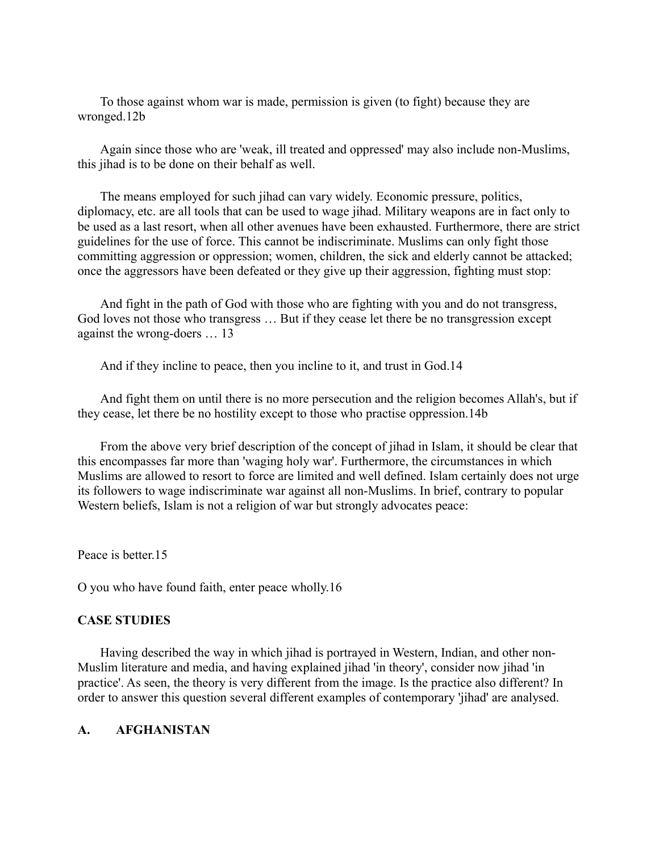To those against whom war is made, permission is given (to fight) because they are wronged.12b

Again since those who are 'weak, ill treated and oppressed' may also include non-Muslims, this jihad is to be done on their behalf as well.

The means employed for such jihad can vary widely. Economic pressure, politics, diplomacy, etc. are all tools that can be used to wage jihad. Military weapons are in fact only to be used as a last resort, when all other avenues have been exhausted. Furthermore, there are strict guidelines for the use of force. This cannot be indiscriminate. Muslims can only fight those committing aggression or oppression; women, children, the sick and elderly cannot be attacked; once the aggressors have been defeated or they give up their aggression, fighting must stop:

And fight in the path of God with those who are fighting with you and do not transgress, God loves not those who transgress … But if they cease let there be no transgression except against the wrong-doers … 13

And if they incline to peace, then you incline to it, and trust in God.14

And fight them on until there is no more persecution and the religion becomes Allah's, but if they cease, let there be no hostility except to those who practise oppression.14b

From the above very brief description of the concept of jihad in Islam, it should be clear that this encompasses far more than 'waging holy war'. Furthermore, the circumstances in which Muslims are allowed to resort to force are limited and well defined. Islam certainly does not urge its followers to wage indiscriminate war against all non-Muslims. In brief, contrary to popular Western beliefs, Islam is not a religion of war but strongly advocates peace:

Peace is better 15

O you who have found faith, enter peace wholly.16

# **CASE STUDIES**

Having described the way in which jihad is portrayed in Western, Indian, and other non-Muslim literature and media, and having explained jihad 'in theory', consider now jihad 'in practice'. As seen, the theory is very different from the image. Is the practice also different? In order to answer this question several different examples of contemporary 'jihad' are analysed.

# **A. AFGHANISTAN**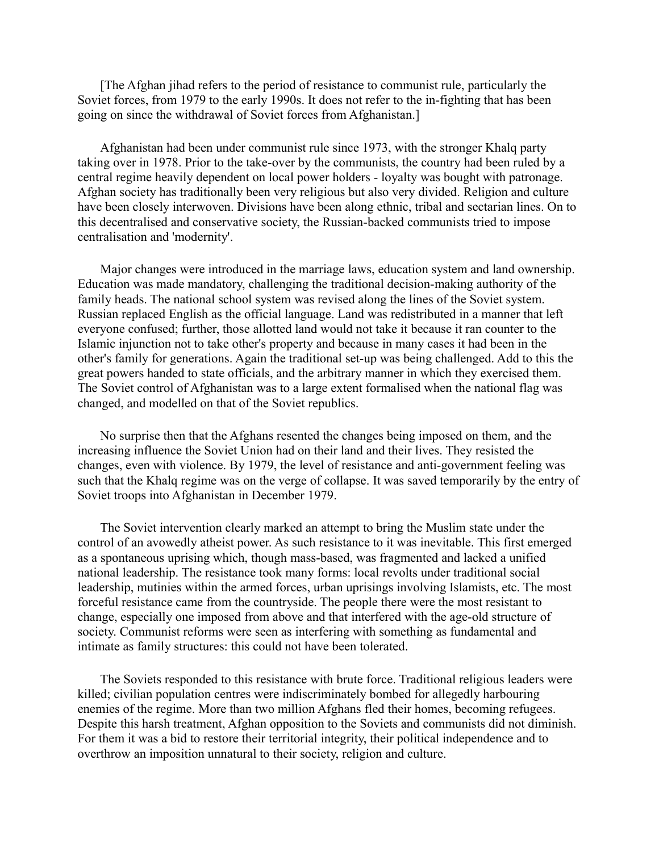[The Afghan jihad refers to the period of resistance to communist rule, particularly the Soviet forces, from 1979 to the early 1990s. It does not refer to the in-fighting that has been going on since the withdrawal of Soviet forces from Afghanistan.]

Afghanistan had been under communist rule since 1973, with the stronger Khalq party taking over in 1978. Prior to the take-over by the communists, the country had been ruled by a central regime heavily dependent on local power holders - loyalty was bought with patronage. Afghan society has traditionally been very religious but also very divided. Religion and culture have been closely interwoven. Divisions have been along ethnic, tribal and sectarian lines. On to this decentralised and conservative society, the Russian-backed communists tried to impose centralisation and 'modernity'.

Major changes were introduced in the marriage laws, education system and land ownership. Education was made mandatory, challenging the traditional decision-making authority of the family heads. The national school system was revised along the lines of the Soviet system. Russian replaced English as the official language. Land was redistributed in a manner that left everyone confused; further, those allotted land would not take it because it ran counter to the Islamic injunction not to take other's property and because in many cases it had been in the other's family for generations. Again the traditional set-up was being challenged. Add to this the great powers handed to state officials, and the arbitrary manner in which they exercised them. The Soviet control of Afghanistan was to a large extent formalised when the national flag was changed, and modelled on that of the Soviet republics.

No surprise then that the Afghans resented the changes being imposed on them, and the increasing influence the Soviet Union had on their land and their lives. They resisted the changes, even with violence. By 1979, the level of resistance and anti-government feeling was such that the Khalq regime was on the verge of collapse. It was saved temporarily by the entry of Soviet troops into Afghanistan in December 1979.

The Soviet intervention clearly marked an attempt to bring the Muslim state under the control of an avowedly atheist power. As such resistance to it was inevitable. This first emerged as a spontaneous uprising which, though mass-based, was fragmented and lacked a unified national leadership. The resistance took many forms: local revolts under traditional social leadership, mutinies within the armed forces, urban uprisings involving Islamists, etc. The most forceful resistance came from the countryside. The people there were the most resistant to change, especially one imposed from above and that interfered with the age-old structure of society. Communist reforms were seen as interfering with something as fundamental and intimate as family structures: this could not have been tolerated.

The Soviets responded to this resistance with brute force. Traditional religious leaders were killed; civilian population centres were indiscriminately bombed for allegedly harbouring enemies of the regime. More than two million Afghans fled their homes, becoming refugees. Despite this harsh treatment, Afghan opposition to the Soviets and communists did not diminish. For them it was a bid to restore their territorial integrity, their political independence and to overthrow an imposition unnatural to their society, religion and culture.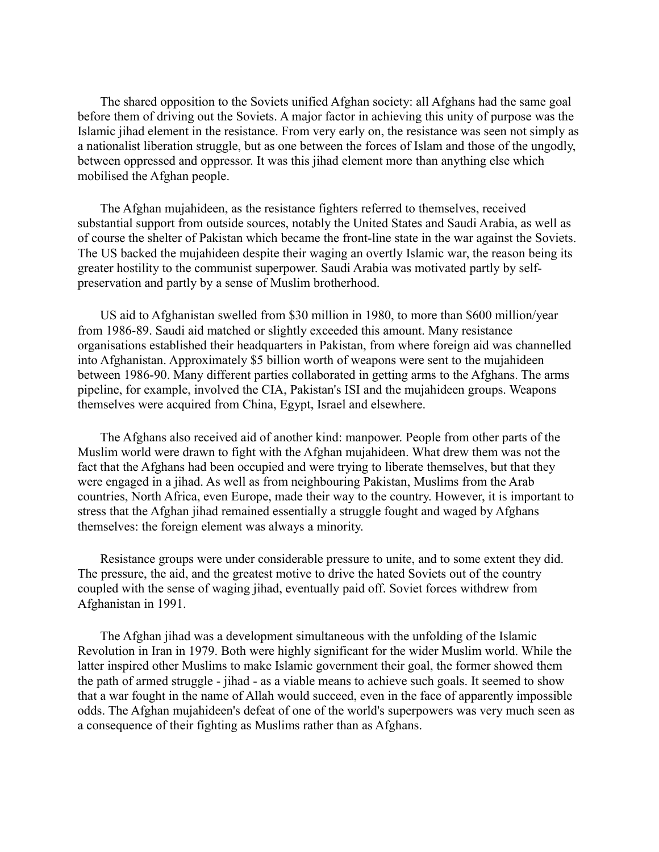The shared opposition to the Soviets unified Afghan society: all Afghans had the same goal before them of driving out the Soviets. A major factor in achieving this unity of purpose was the Islamic jihad element in the resistance. From very early on, the resistance was seen not simply as a nationalist liberation struggle, but as one between the forces of Islam and those of the ungodly, between oppressed and oppressor. It was this jihad element more than anything else which mobilised the Afghan people.

The Afghan mujahideen, as the resistance fighters referred to themselves, received substantial support from outside sources, notably the United States and Saudi Arabia, as well as of course the shelter of Pakistan which became the front-line state in the war against the Soviets. The US backed the mujahideen despite their waging an overtly Islamic war, the reason being its greater hostility to the communist superpower. Saudi Arabia was motivated partly by selfpreservation and partly by a sense of Muslim brotherhood.

US aid to Afghanistan swelled from \$30 million in 1980, to more than \$600 million/year from 1986-89. Saudi aid matched or slightly exceeded this amount. Many resistance organisations established their headquarters in Pakistan, from where foreign aid was channelled into Afghanistan. Approximately \$5 billion worth of weapons were sent to the mujahideen between 1986-90. Many different parties collaborated in getting arms to the Afghans. The arms pipeline, for example, involved the CIA, Pakistan's ISI and the mujahideen groups. Weapons themselves were acquired from China, Egypt, Israel and elsewhere.

The Afghans also received aid of another kind: manpower. People from other parts of the Muslim world were drawn to fight with the Afghan mujahideen. What drew them was not the fact that the Afghans had been occupied and were trying to liberate themselves, but that they were engaged in a jihad. As well as from neighbouring Pakistan, Muslims from the Arab countries, North Africa, even Europe, made their way to the country. However, it is important to stress that the Afghan jihad remained essentially a struggle fought and waged by Afghans themselves: the foreign element was always a minority.

Resistance groups were under considerable pressure to unite, and to some extent they did. The pressure, the aid, and the greatest motive to drive the hated Soviets out of the country coupled with the sense of waging jihad, eventually paid off. Soviet forces withdrew from Afghanistan in 1991.

The Afghan jihad was a development simultaneous with the unfolding of the Islamic Revolution in Iran in 1979. Both were highly significant for the wider Muslim world. While the latter inspired other Muslims to make Islamic government their goal, the former showed them the path of armed struggle - jihad - as a viable means to achieve such goals. It seemed to show that a war fought in the name of Allah would succeed, even in the face of apparently impossible odds. The Afghan mujahideen's defeat of one of the world's superpowers was very much seen as a consequence of their fighting as Muslims rather than as Afghans.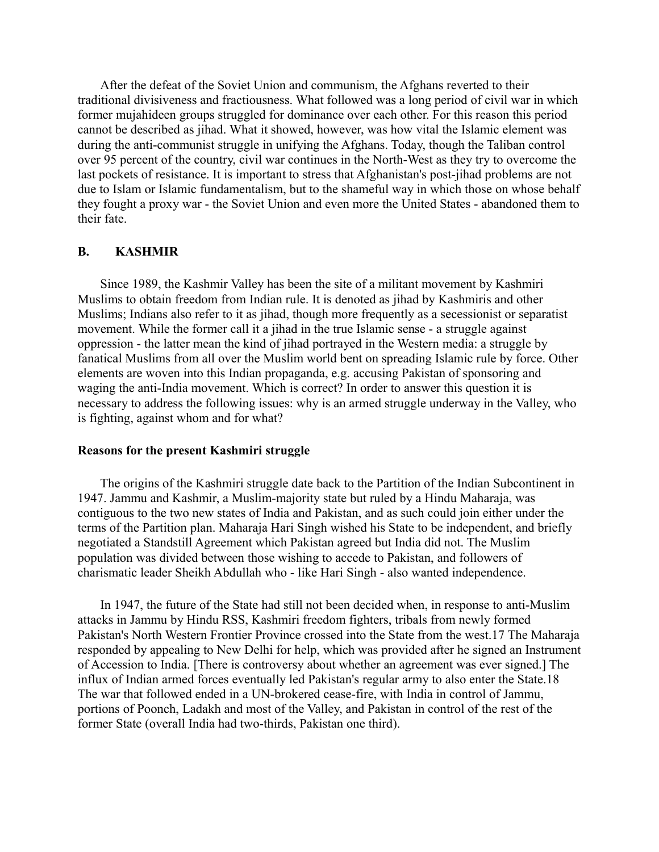After the defeat of the Soviet Union and communism, the Afghans reverted to their traditional divisiveness and fractiousness. What followed was a long period of civil war in which former mujahideen groups struggled for dominance over each other. For this reason this period cannot be described as jihad. What it showed, however, was how vital the Islamic element was during the anti-communist struggle in unifying the Afghans. Today, though the Taliban control over 95 percent of the country, civil war continues in the North-West as they try to overcome the last pockets of resistance. It is important to stress that Afghanistan's post-jihad problems are not due to Islam or Islamic fundamentalism, but to the shameful way in which those on whose behalf they fought a proxy war - the Soviet Union and even more the United States - abandoned them to their fate.

# **B. KASHMIR**

Since 1989, the Kashmir Valley has been the site of a militant movement by Kashmiri Muslims to obtain freedom from Indian rule. It is denoted as jihad by Kashmiris and other Muslims; Indians also refer to it as jihad, though more frequently as a secessionist or separatist movement. While the former call it a jihad in the true Islamic sense - a struggle against oppression - the latter mean the kind of jihad portrayed in the Western media: a struggle by fanatical Muslims from all over the Muslim world bent on spreading Islamic rule by force. Other elements are woven into this Indian propaganda, e.g. accusing Pakistan of sponsoring and waging the anti-India movement. Which is correct? In order to answer this question it is necessary to address the following issues: why is an armed struggle underway in the Valley, who is fighting, against whom and for what?

### **Reasons for the present Kashmiri struggle**

The origins of the Kashmiri struggle date back to the Partition of the Indian Subcontinent in 1947. Jammu and Kashmir, a Muslim-majority state but ruled by a Hindu Maharaja, was contiguous to the two new states of India and Pakistan, and as such could join either under the terms of the Partition plan. Maharaja Hari Singh wished his State to be independent, and briefly negotiated a Standstill Agreement which Pakistan agreed but India did not. The Muslim population was divided between those wishing to accede to Pakistan, and followers of charismatic leader Sheikh Abdullah who - like Hari Singh - also wanted independence.

In 1947, the future of the State had still not been decided when, in response to anti-Muslim attacks in Jammu by Hindu RSS, Kashmiri freedom fighters, tribals from newly formed Pakistan's North Western Frontier Province crossed into the State from the west.17 The Maharaja responded by appealing to New Delhi for help, which was provided after he signed an Instrument of Accession to India. [There is controversy about whether an agreement was ever signed.] The influx of Indian armed forces eventually led Pakistan's regular army to also enter the State.18 The war that followed ended in a UN-brokered cease-fire, with India in control of Jammu, portions of Poonch, Ladakh and most of the Valley, and Pakistan in control of the rest of the former State (overall India had two-thirds, Pakistan one third).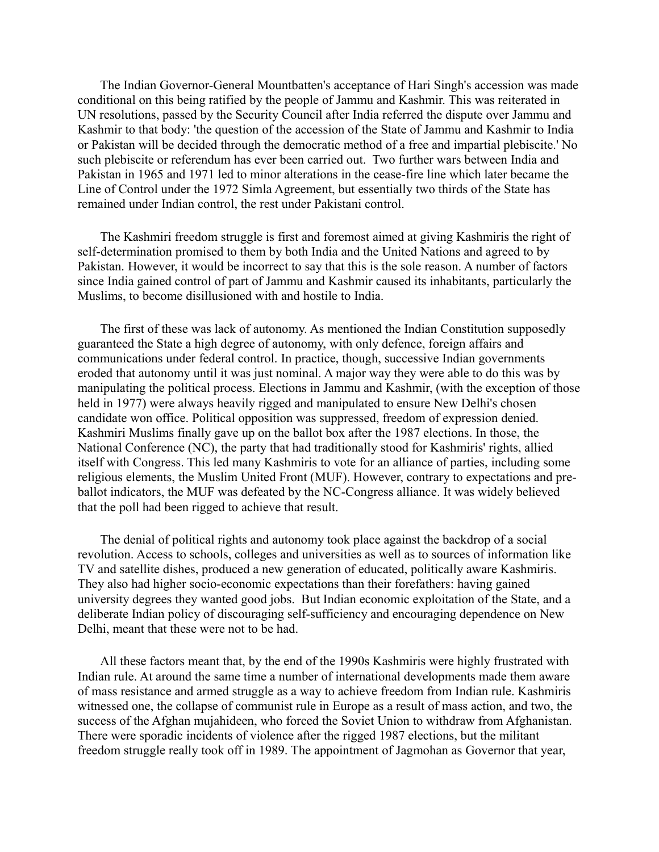The Indian Governor-General Mountbatten's acceptance of Hari Singh's accession was made conditional on this being ratified by the people of Jammu and Kashmir. This was reiterated in UN resolutions, passed by the Security Council after India referred the dispute over Jammu and Kashmir to that body: 'the question of the accession of the State of Jammu and Kashmir to India or Pakistan will be decided through the democratic method of a free and impartial plebiscite.' No such plebiscite or referendum has ever been carried out. Two further wars between India and Pakistan in 1965 and 1971 led to minor alterations in the cease-fire line which later became the Line of Control under the 1972 Simla Agreement, but essentially two thirds of the State has remained under Indian control, the rest under Pakistani control.

The Kashmiri freedom struggle is first and foremost aimed at giving Kashmiris the right of self-determination promised to them by both India and the United Nations and agreed to by Pakistan. However, it would be incorrect to say that this is the sole reason. A number of factors since India gained control of part of Jammu and Kashmir caused its inhabitants, particularly the Muslims, to become disillusioned with and hostile to India.

The first of these was lack of autonomy. As mentioned the Indian Constitution supposedly guaranteed the State a high degree of autonomy, with only defence, foreign affairs and communications under federal control. In practice, though, successive Indian governments eroded that autonomy until it was just nominal. A major way they were able to do this was by manipulating the political process. Elections in Jammu and Kashmir, (with the exception of those held in 1977) were always heavily rigged and manipulated to ensure New Delhi's chosen candidate won office. Political opposition was suppressed, freedom of expression denied. Kashmiri Muslims finally gave up on the ballot box after the 1987 elections. In those, the National Conference (NC), the party that had traditionally stood for Kashmiris' rights, allied itself with Congress. This led many Kashmiris to vote for an alliance of parties, including some religious elements, the Muslim United Front (MUF). However, contrary to expectations and preballot indicators, the MUF was defeated by the NC-Congress alliance. It was widely believed that the poll had been rigged to achieve that result.

The denial of political rights and autonomy took place against the backdrop of a social revolution. Access to schools, colleges and universities as well as to sources of information like TV and satellite dishes, produced a new generation of educated, politically aware Kashmiris. They also had higher socio-economic expectations than their forefathers: having gained university degrees they wanted good jobs. But Indian economic exploitation of the State, and a deliberate Indian policy of discouraging self-sufficiency and encouraging dependence on New Delhi, meant that these were not to be had.

All these factors meant that, by the end of the 1990s Kashmiris were highly frustrated with Indian rule. At around the same time a number of international developments made them aware of mass resistance and armed struggle as a way to achieve freedom from Indian rule. Kashmiris witnessed one, the collapse of communist rule in Europe as a result of mass action, and two, the success of the Afghan mujahideen, who forced the Soviet Union to withdraw from Afghanistan. There were sporadic incidents of violence after the rigged 1987 elections, but the militant freedom struggle really took off in 1989. The appointment of Jagmohan as Governor that year,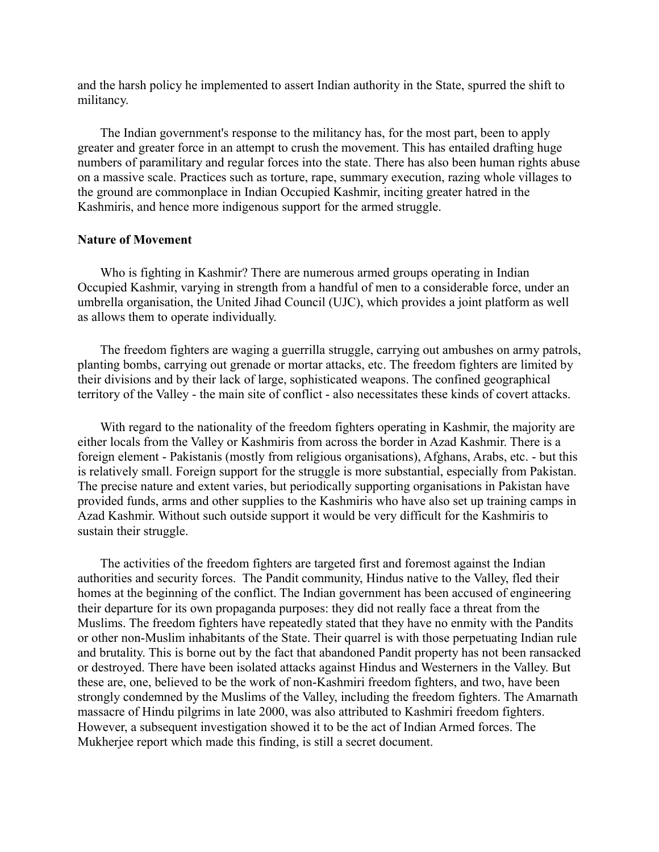and the harsh policy he implemented to assert Indian authority in the State, spurred the shift to militancy.

The Indian government's response to the militancy has, for the most part, been to apply greater and greater force in an attempt to crush the movement. This has entailed drafting huge numbers of paramilitary and regular forces into the state. There has also been human rights abuse on a massive scale. Practices such as torture, rape, summary execution, razing whole villages to the ground are commonplace in Indian Occupied Kashmir, inciting greater hatred in the Kashmiris, and hence more indigenous support for the armed struggle.

#### **Nature of Movement**

Who is fighting in Kashmir? There are numerous armed groups operating in Indian Occupied Kashmir, varying in strength from a handful of men to a considerable force, under an umbrella organisation, the United Jihad Council (UJC), which provides a joint platform as well as allows them to operate individually.

The freedom fighters are waging a guerrilla struggle, carrying out ambushes on army patrols, planting bombs, carrying out grenade or mortar attacks, etc. The freedom fighters are limited by their divisions and by their lack of large, sophisticated weapons. The confined geographical territory of the Valley - the main site of conflict - also necessitates these kinds of covert attacks.

With regard to the nationality of the freedom fighters operating in Kashmir, the majority are either locals from the Valley or Kashmiris from across the border in Azad Kashmir. There is a foreign element - Pakistanis (mostly from religious organisations), Afghans, Arabs, etc. - but this is relatively small. Foreign support for the struggle is more substantial, especially from Pakistan. The precise nature and extent varies, but periodically supporting organisations in Pakistan have provided funds, arms and other supplies to the Kashmiris who have also set up training camps in Azad Kashmir. Without such outside support it would be very difficult for the Kashmiris to sustain their struggle.

The activities of the freedom fighters are targeted first and foremost against the Indian authorities and security forces. The Pandit community, Hindus native to the Valley, fled their homes at the beginning of the conflict. The Indian government has been accused of engineering their departure for its own propaganda purposes: they did not really face a threat from the Muslims. The freedom fighters have repeatedly stated that they have no enmity with the Pandits or other non-Muslim inhabitants of the State. Their quarrel is with those perpetuating Indian rule and brutality. This is borne out by the fact that abandoned Pandit property has not been ransacked or destroyed. There have been isolated attacks against Hindus and Westerners in the Valley. But these are, one, believed to be the work of non-Kashmiri freedom fighters, and two, have been strongly condemned by the Muslims of the Valley, including the freedom fighters. The Amarnath massacre of Hindu pilgrims in late 2000, was also attributed to Kashmiri freedom fighters. However, a subsequent investigation showed it to be the act of Indian Armed forces. The Mukherjee report which made this finding, is still a secret document.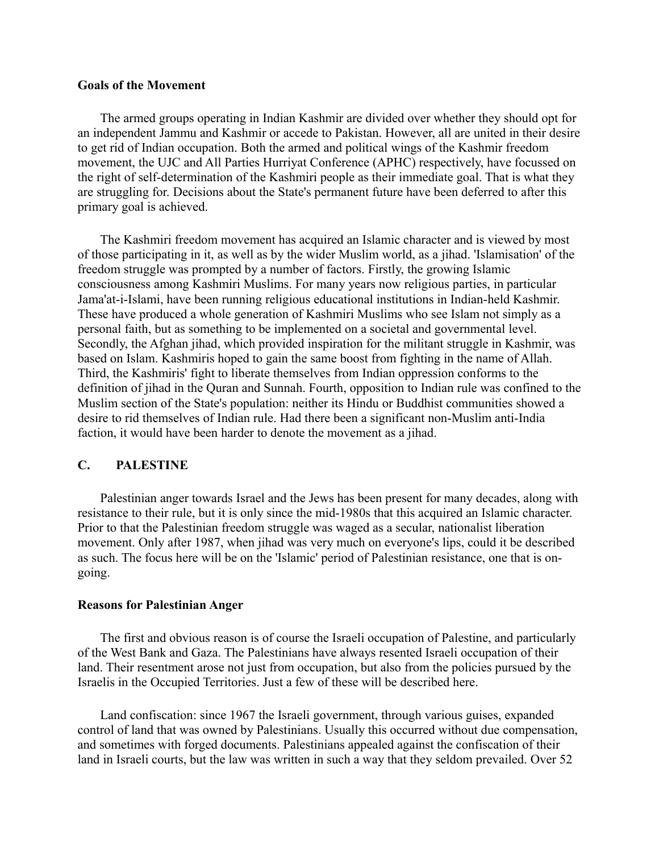# **Goals of the Movement**

The armed groups operating in Indian Kashmir are divided over whether they should opt for an independent Jammu and Kashmir or accede to Pakistan. However, all are united in their desire to get rid of Indian occupation. Both the armed and political wings of the Kashmir freedom movement, the UJC and All Parties Hurriyat Conference (APHC) respectively, have focussed on the right of self-determination of the Kashmiri people as their immediate goal. That is what they are struggling for. Decisions about the State's permanent future have been deferred to after this primary goal is achieved.

The Kashmiri freedom movement has acquired an Islamic character and is viewed by most of those participating in it, as well as by the wider Muslim world, as a jihad. 'Islamisation' of the freedom struggle was prompted by a number of factors. Firstly, the growing Islamic consciousness among Kashmiri Muslims. For many years now religious parties, in particular Jama'at-i-Islami, have been running religious educational institutions in Indian-held Kashmir. These have produced a whole generation of Kashmiri Muslims who see Islam not simply as a personal faith, but as something to be implemented on a societal and governmental level. Secondly, the Afghan jihad, which provided inspiration for the militant struggle in Kashmir, was based on Islam. Kashmiris hoped to gain the same boost from fighting in the name of Allah. Third, the Kashmiris' fight to liberate themselves from Indian oppression conforms to the definition of jihad in the Quran and Sunnah. Fourth, opposition to Indian rule was confined to the Muslim section of the State's population: neither its Hindu or Buddhist communities showed a desire to rid themselves of Indian rule. Had there been a significant non-Muslim anti-India faction, it would have been harder to denote the movement as a jihad.

# **C. PALESTINE**

Palestinian anger towards Israel and the Jews has been present for many decades, along with resistance to their rule, but it is only since the mid-1980s that this acquired an Islamic character. Prior to that the Palestinian freedom struggle was waged as a secular, nationalist liberation movement. Only after 1987, when jihad was very much on everyone's lips, could it be described as such. The focus here will be on the 'Islamic' period of Palestinian resistance, one that is ongoing.

### **Reasons for Palestinian Anger**

The first and obvious reason is of course the Israeli occupation of Palestine, and particularly of the West Bank and Gaza. The Palestinians have always resented Israeli occupation of their land. Their resentment arose not just from occupation, but also from the policies pursued by the Israelis in the Occupied Territories. Just a few of these will be described here.

Land confiscation: since 1967 the Israeli government, through various guises, expanded control of land that was owned by Palestinians. Usually this occurred without due compensation, and sometimes with forged documents. Palestinians appealed against the confiscation of their land in Israeli courts, but the law was written in such a way that they seldom prevailed. Over 52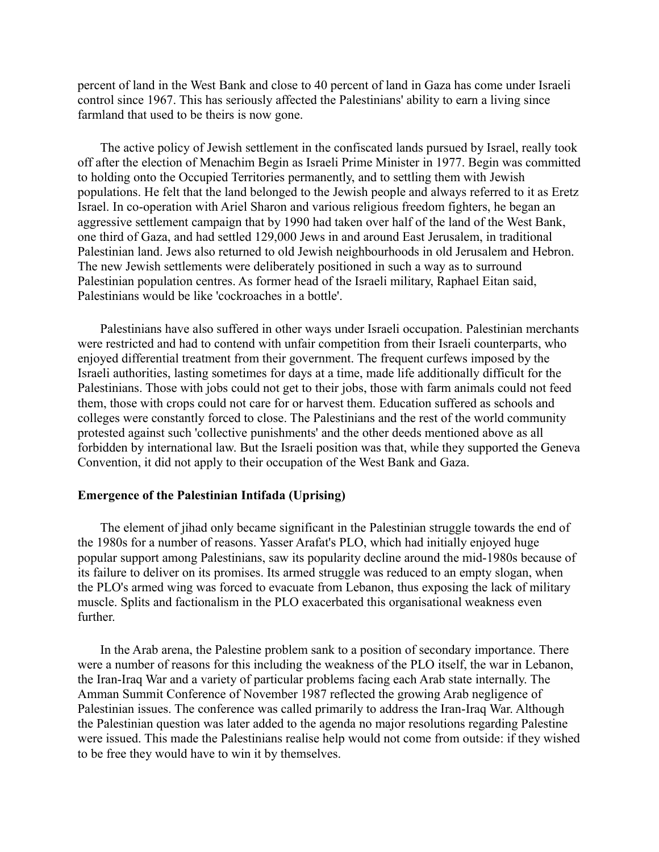percent of land in the West Bank and close to 40 percent of land in Gaza has come under Israeli control since 1967. This has seriously affected the Palestinians' ability to earn a living since farmland that used to be theirs is now gone.

The active policy of Jewish settlement in the confiscated lands pursued by Israel, really took off after the election of Menachim Begin as Israeli Prime Minister in 1977. Begin was committed to holding onto the Occupied Territories permanently, and to settling them with Jewish populations. He felt that the land belonged to the Jewish people and always referred to it as Eretz Israel. In co-operation with Ariel Sharon and various religious freedom fighters, he began an aggressive settlement campaign that by 1990 had taken over half of the land of the West Bank, one third of Gaza, and had settled 129,000 Jews in and around East Jerusalem, in traditional Palestinian land. Jews also returned to old Jewish neighbourhoods in old Jerusalem and Hebron. The new Jewish settlements were deliberately positioned in such a way as to surround Palestinian population centres. As former head of the Israeli military, Raphael Eitan said, Palestinians would be like 'cockroaches in a bottle'.

Palestinians have also suffered in other ways under Israeli occupation. Palestinian merchants were restricted and had to contend with unfair competition from their Israeli counterparts, who enjoyed differential treatment from their government. The frequent curfews imposed by the Israeli authorities, lasting sometimes for days at a time, made life additionally difficult for the Palestinians. Those with jobs could not get to their jobs, those with farm animals could not feed them, those with crops could not care for or harvest them. Education suffered as schools and colleges were constantly forced to close. The Palestinians and the rest of the world community protested against such 'collective punishments' and the other deeds mentioned above as all forbidden by international law. But the Israeli position was that, while they supported the Geneva Convention, it did not apply to their occupation of the West Bank and Gaza.

## **Emergence of the Palestinian Intifada (Uprising)**

The element of jihad only became significant in the Palestinian struggle towards the end of the 1980s for a number of reasons. Yasser Arafat's PLO, which had initially enjoyed huge popular support among Palestinians, saw its popularity decline around the mid-1980s because of its failure to deliver on its promises. Its armed struggle was reduced to an empty slogan, when the PLO's armed wing was forced to evacuate from Lebanon, thus exposing the lack of military muscle. Splits and factionalism in the PLO exacerbated this organisational weakness even further.

In the Arab arena, the Palestine problem sank to a position of secondary importance. There were a number of reasons for this including the weakness of the PLO itself, the war in Lebanon, the Iran-Iraq War and a variety of particular problems facing each Arab state internally. The Amman Summit Conference of November 1987 reflected the growing Arab negligence of Palestinian issues. The conference was called primarily to address the Iran-Iraq War. Although the Palestinian question was later added to the agenda no major resolutions regarding Palestine were issued. This made the Palestinians realise help would not come from outside: if they wished to be free they would have to win it by themselves.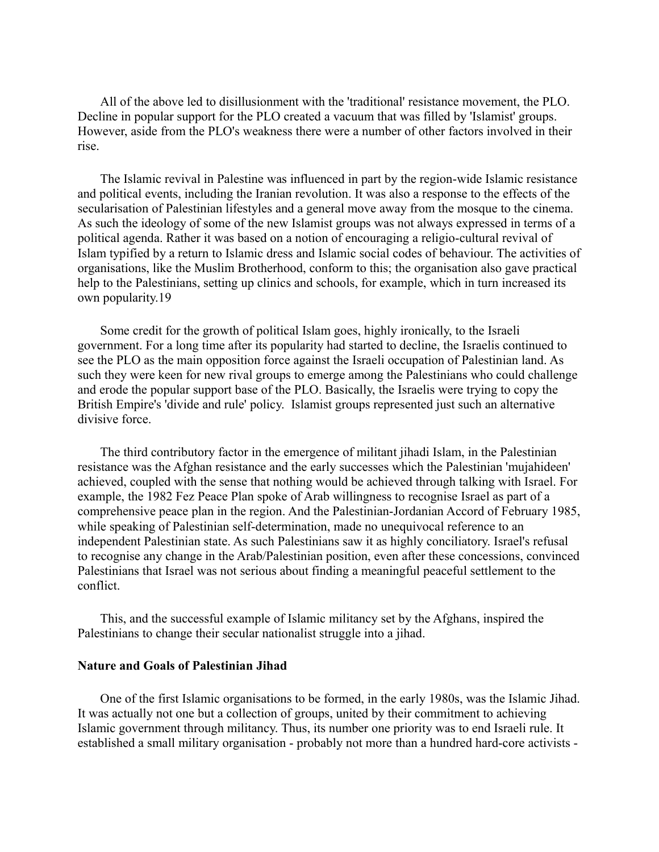All of the above led to disillusionment with the 'traditional' resistance movement, the PLO. Decline in popular support for the PLO created a vacuum that was filled by 'Islamist' groups. However, aside from the PLO's weakness there were a number of other factors involved in their rise.

The Islamic revival in Palestine was influenced in part by the region-wide Islamic resistance and political events, including the Iranian revolution. It was also a response to the effects of the secularisation of Palestinian lifestyles and a general move away from the mosque to the cinema. As such the ideology of some of the new Islamist groups was not always expressed in terms of a political agenda. Rather it was based on a notion of encouraging a religio-cultural revival of Islam typified by a return to Islamic dress and Islamic social codes of behaviour. The activities of organisations, like the Muslim Brotherhood, conform to this; the organisation also gave practical help to the Palestinians, setting up clinics and schools, for example, which in turn increased its own popularity.19

Some credit for the growth of political Islam goes, highly ironically, to the Israeli government. For a long time after its popularity had started to decline, the Israelis continued to see the PLO as the main opposition force against the Israeli occupation of Palestinian land. As such they were keen for new rival groups to emerge among the Palestinians who could challenge and erode the popular support base of the PLO. Basically, the Israelis were trying to copy the British Empire's 'divide and rule' policy. Islamist groups represented just such an alternative divisive force.

The third contributory factor in the emergence of militant jihadi Islam, in the Palestinian resistance was the Afghan resistance and the early successes which the Palestinian 'mujahideen' achieved, coupled with the sense that nothing would be achieved through talking with Israel. For example, the 1982 Fez Peace Plan spoke of Arab willingness to recognise Israel as part of a comprehensive peace plan in the region. And the Palestinian-Jordanian Accord of February 1985, while speaking of Palestinian self-determination, made no unequivocal reference to an independent Palestinian state. As such Palestinians saw it as highly conciliatory. Israel's refusal to recognise any change in the Arab/Palestinian position, even after these concessions, convinced Palestinians that Israel was not serious about finding a meaningful peaceful settlement to the conflict.

This, and the successful example of Islamic militancy set by the Afghans, inspired the Palestinians to change their secular nationalist struggle into a jihad.

#### **Nature and Goals of Palestinian Jihad**

One of the first Islamic organisations to be formed, in the early 1980s, was the Islamic Jihad. It was actually not one but a collection of groups, united by their commitment to achieving Islamic government through militancy. Thus, its number one priority was to end Israeli rule. It established a small military organisation - probably not more than a hundred hard-core activists -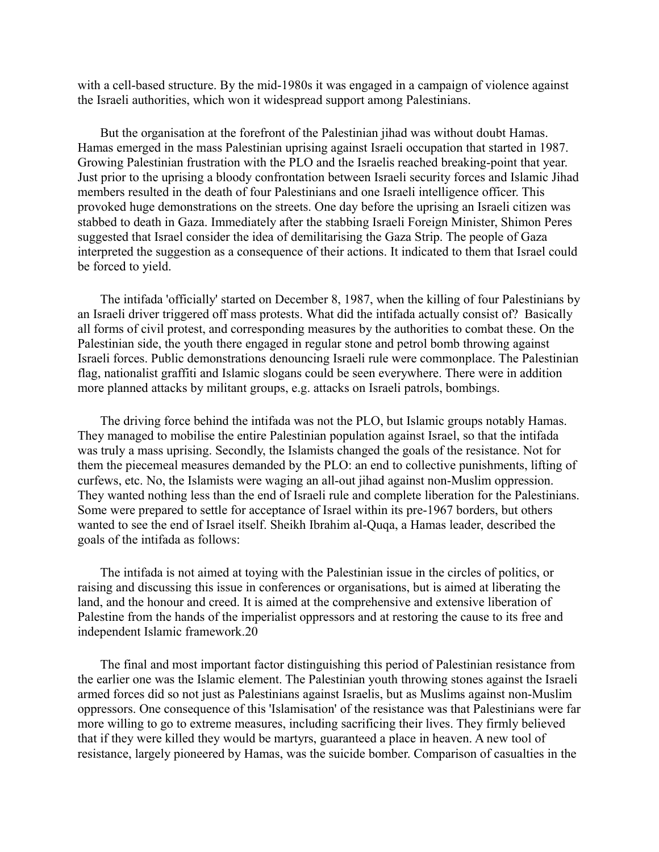with a cell-based structure. By the mid-1980s it was engaged in a campaign of violence against the Israeli authorities, which won it widespread support among Palestinians.

But the organisation at the forefront of the Palestinian jihad was without doubt Hamas. Hamas emerged in the mass Palestinian uprising against Israeli occupation that started in 1987. Growing Palestinian frustration with the PLO and the Israelis reached breaking-point that year. Just prior to the uprising a bloody confrontation between Israeli security forces and Islamic Jihad members resulted in the death of four Palestinians and one Israeli intelligence officer. This provoked huge demonstrations on the streets. One day before the uprising an Israeli citizen was stabbed to death in Gaza. Immediately after the stabbing Israeli Foreign Minister, Shimon Peres suggested that Israel consider the idea of demilitarising the Gaza Strip. The people of Gaza interpreted the suggestion as a consequence of their actions. It indicated to them that Israel could be forced to yield.

The intifada 'officially' started on December 8, 1987, when the killing of four Palestinians by an Israeli driver triggered off mass protests. What did the intifada actually consist of? Basically all forms of civil protest, and corresponding measures by the authorities to combat these. On the Palestinian side, the youth there engaged in regular stone and petrol bomb throwing against Israeli forces. Public demonstrations denouncing Israeli rule were commonplace. The Palestinian flag, nationalist graffiti and Islamic slogans could be seen everywhere. There were in addition more planned attacks by militant groups, e.g. attacks on Israeli patrols, bombings.

The driving force behind the intifada was not the PLO, but Islamic groups notably Hamas. They managed to mobilise the entire Palestinian population against Israel, so that the intifada was truly a mass uprising. Secondly, the Islamists changed the goals of the resistance. Not for them the piecemeal measures demanded by the PLO: an end to collective punishments, lifting of curfews, etc. No, the Islamists were waging an all-out jihad against non-Muslim oppression. They wanted nothing less than the end of Israeli rule and complete liberation for the Palestinians. Some were prepared to settle for acceptance of Israel within its pre-1967 borders, but others wanted to see the end of Israel itself. Sheikh Ibrahim al-Quqa, a Hamas leader, described the goals of the intifada as follows:

The intifada is not aimed at toying with the Palestinian issue in the circles of politics, or raising and discussing this issue in conferences or organisations, but is aimed at liberating the land, and the honour and creed. It is aimed at the comprehensive and extensive liberation of Palestine from the hands of the imperialist oppressors and at restoring the cause to its free and independent Islamic framework.20

The final and most important factor distinguishing this period of Palestinian resistance from the earlier one was the Islamic element. The Palestinian youth throwing stones against the Israeli armed forces did so not just as Palestinians against Israelis, but as Muslims against non-Muslim oppressors. One consequence of this 'Islamisation' of the resistance was that Palestinians were far more willing to go to extreme measures, including sacrificing their lives. They firmly believed that if they were killed they would be martyrs, guaranteed a place in heaven. A new tool of resistance, largely pioneered by Hamas, was the suicide bomber. Comparison of casualties in the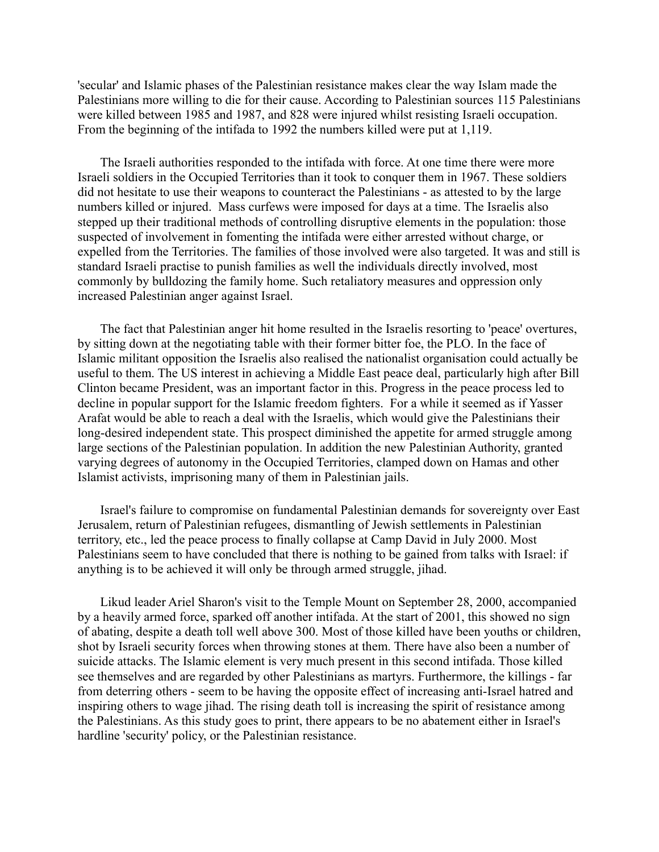'secular' and Islamic phases of the Palestinian resistance makes clear the way Islam made the Palestinians more willing to die for their cause. According to Palestinian sources 115 Palestinians were killed between 1985 and 1987, and 828 were injured whilst resisting Israeli occupation. From the beginning of the intifada to 1992 the numbers killed were put at 1,119.

The Israeli authorities responded to the intifada with force. At one time there were more Israeli soldiers in the Occupied Territories than it took to conquer them in 1967. These soldiers did not hesitate to use their weapons to counteract the Palestinians - as attested to by the large numbers killed or injured. Mass curfews were imposed for days at a time. The Israelis also stepped up their traditional methods of controlling disruptive elements in the population: those suspected of involvement in fomenting the intifada were either arrested without charge, or expelled from the Territories. The families of those involved were also targeted. It was and still is standard Israeli practise to punish families as well the individuals directly involved, most commonly by bulldozing the family home. Such retaliatory measures and oppression only increased Palestinian anger against Israel.

The fact that Palestinian anger hit home resulted in the Israelis resorting to 'peace' overtures, by sitting down at the negotiating table with their former bitter foe, the PLO. In the face of Islamic militant opposition the Israelis also realised the nationalist organisation could actually be useful to them. The US interest in achieving a Middle East peace deal, particularly high after Bill Clinton became President, was an important factor in this. Progress in the peace process led to decline in popular support for the Islamic freedom fighters. For a while it seemed as if Yasser Arafat would be able to reach a deal with the Israelis, which would give the Palestinians their long-desired independent state. This prospect diminished the appetite for armed struggle among large sections of the Palestinian population. In addition the new Palestinian Authority, granted varying degrees of autonomy in the Occupied Territories, clamped down on Hamas and other Islamist activists, imprisoning many of them in Palestinian jails.

Israel's failure to compromise on fundamental Palestinian demands for sovereignty over East Jerusalem, return of Palestinian refugees, dismantling of Jewish settlements in Palestinian territory, etc., led the peace process to finally collapse at Camp David in July 2000. Most Palestinians seem to have concluded that there is nothing to be gained from talks with Israel: if anything is to be achieved it will only be through armed struggle, jihad.

Likud leader Ariel Sharon's visit to the Temple Mount on September 28, 2000, accompanied by a heavily armed force, sparked off another intifada. At the start of 2001, this showed no sign of abating, despite a death toll well above 300. Most of those killed have been youths or children, shot by Israeli security forces when throwing stones at them. There have also been a number of suicide attacks. The Islamic element is very much present in this second intifada. Those killed see themselves and are regarded by other Palestinians as martyrs. Furthermore, the killings - far from deterring others - seem to be having the opposite effect of increasing anti-Israel hatred and inspiring others to wage jihad. The rising death toll is increasing the spirit of resistance among the Palestinians. As this study goes to print, there appears to be no abatement either in Israel's hardline 'security' policy, or the Palestinian resistance.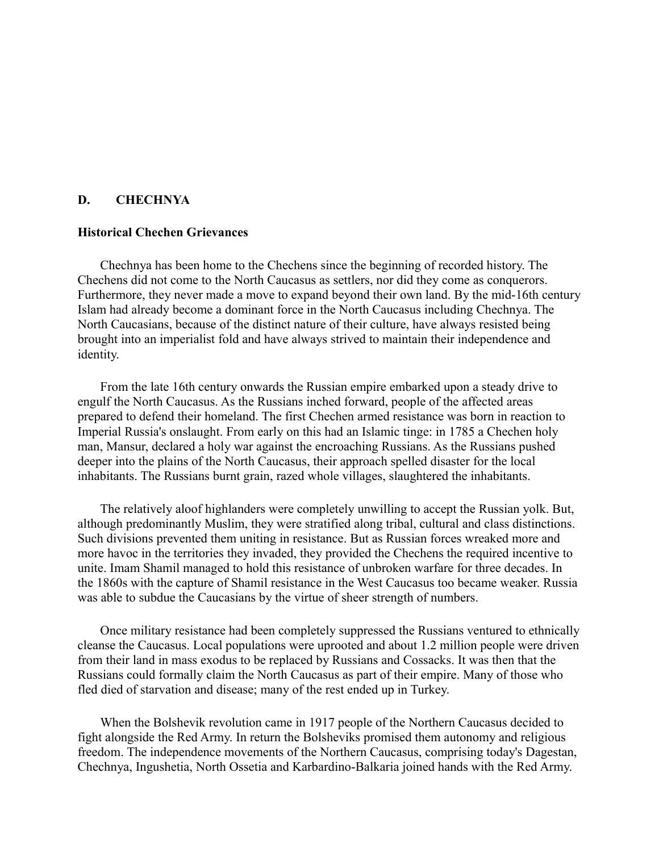# **D. CHECHNYA**

# **Historical Chechen Grievances**

Chechnya has been home to the Chechens since the beginning of recorded history. The Chechens did not come to the North Caucasus as settlers, nor did they come as conquerors. Furthermore, they never made a move to expand beyond their own land. By the mid-16th century Islam had already become a dominant force in the North Caucasus including Chechnya. The North Caucasians, because of the distinct nature of their culture, have always resisted being brought into an imperialist fold and have always strived to maintain their independence and identity.

From the late 16th century onwards the Russian empire embarked upon a steady drive to engulf the North Caucasus. As the Russians inched forward, people of the affected areas prepared to defend their homeland. The first Chechen armed resistance was born in reaction to Imperial Russia's onslaught. From early on this had an Islamic tinge: in 1785 a Chechen holy man, Mansur, declared a holy war against the encroaching Russians. As the Russians pushed deeper into the plains of the North Caucasus, their approach spelled disaster for the local inhabitants. The Russians burnt grain, razed whole villages, slaughtered the inhabitants.

The relatively aloof highlanders were completely unwilling to accept the Russian yolk. But, although predominantly Muslim, they were stratified along tribal, cultural and class distinctions. Such divisions prevented them uniting in resistance. But as Russian forces wreaked more and more havoc in the territories they invaded, they provided the Chechens the required incentive to unite. Imam Shamil managed to hold this resistance of unbroken warfare for three decades. In the 1860s with the capture of Shamil resistance in the West Caucasus too became weaker. Russia was able to subdue the Caucasians by the virtue of sheer strength of numbers.

Once military resistance had been completely suppressed the Russians ventured to ethnically cleanse the Caucasus. Local populations were uprooted and about 1.2 million people were driven from their land in mass exodus to be replaced by Russians and Cossacks. It was then that the Russians could formally claim the North Caucasus as part of their empire. Many of those who fled died of starvation and disease; many of the rest ended up in Turkey.

When the Bolshevik revolution came in 1917 people of the Northern Caucasus decided to fight alongside the Red Army. In return the Bolsheviks promised them autonomy and religious freedom. The independence movements of the Northern Caucasus, comprising today's Dagestan, Chechnya, Ingushetia, North Ossetia and Karbardino-Balkaria joined hands with the Red Army.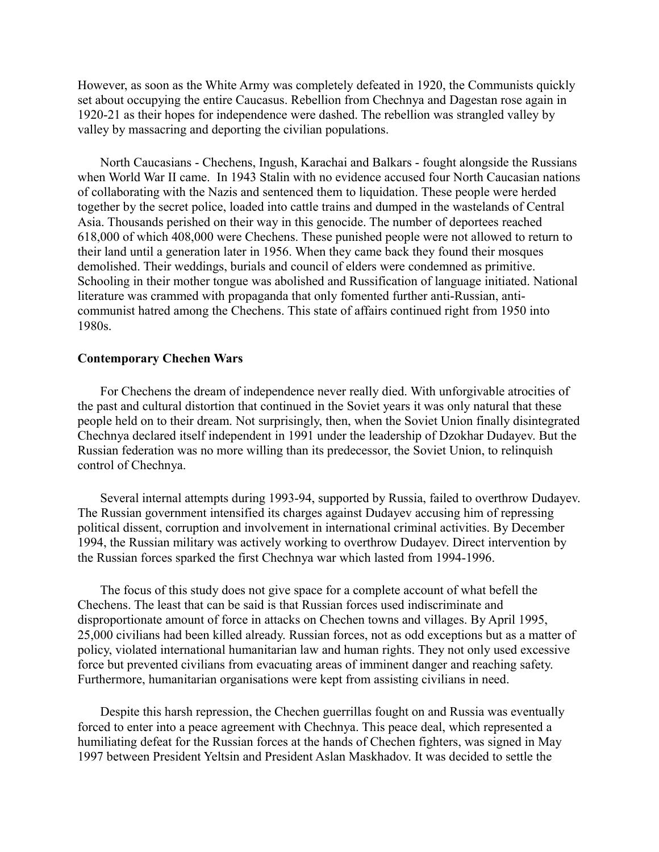However, as soon as the White Army was completely defeated in 1920, the Communists quickly set about occupying the entire Caucasus. Rebellion from Chechnya and Dagestan rose again in 1920-21 as their hopes for independence were dashed. The rebellion was strangled valley by valley by massacring and deporting the civilian populations.

North Caucasians - Chechens, Ingush, Karachai and Balkars - fought alongside the Russians when World War II came. In 1943 Stalin with no evidence accused four North Caucasian nations of collaborating with the Nazis and sentenced them to liquidation. These people were herded together by the secret police, loaded into cattle trains and dumped in the wastelands of Central Asia. Thousands perished on their way in this genocide. The number of deportees reached 618,000 of which 408,000 were Chechens. These punished people were not allowed to return to their land until a generation later in 1956. When they came back they found their mosques demolished. Their weddings, burials and council of elders were condemned as primitive. Schooling in their mother tongue was abolished and Russification of language initiated. National literature was crammed with propaganda that only fomented further anti-Russian, anticommunist hatred among the Chechens. This state of affairs continued right from 1950 into 1980s.

### **Contemporary Chechen Wars**

For Chechens the dream of independence never really died. With unforgivable atrocities of the past and cultural distortion that continued in the Soviet years it was only natural that these people held on to their dream. Not surprisingly, then, when the Soviet Union finally disintegrated Chechnya declared itself independent in 1991 under the leadership of Dzokhar Dudayev. But the Russian federation was no more willing than its predecessor, the Soviet Union, to relinquish control of Chechnya.

Several internal attempts during 1993-94, supported by Russia, failed to overthrow Dudayev. The Russian government intensified its charges against Dudayev accusing him of repressing political dissent, corruption and involvement in international criminal activities. By December 1994, the Russian military was actively working to overthrow Dudayev. Direct intervention by the Russian forces sparked the first Chechnya war which lasted from 1994-1996.

The focus of this study does not give space for a complete account of what befell the Chechens. The least that can be said is that Russian forces used indiscriminate and disproportionate amount of force in attacks on Chechen towns and villages. By April 1995, 25,000 civilians had been killed already. Russian forces, not as odd exceptions but as a matter of policy, violated international humanitarian law and human rights. They not only used excessive force but prevented civilians from evacuating areas of imminent danger and reaching safety. Furthermore, humanitarian organisations were kept from assisting civilians in need.

Despite this harsh repression, the Chechen guerrillas fought on and Russia was eventually forced to enter into a peace agreement with Chechnya. This peace deal, which represented a humiliating defeat for the Russian forces at the hands of Chechen fighters, was signed in May 1997 between President Yeltsin and President Aslan Maskhadov. It was decided to settle the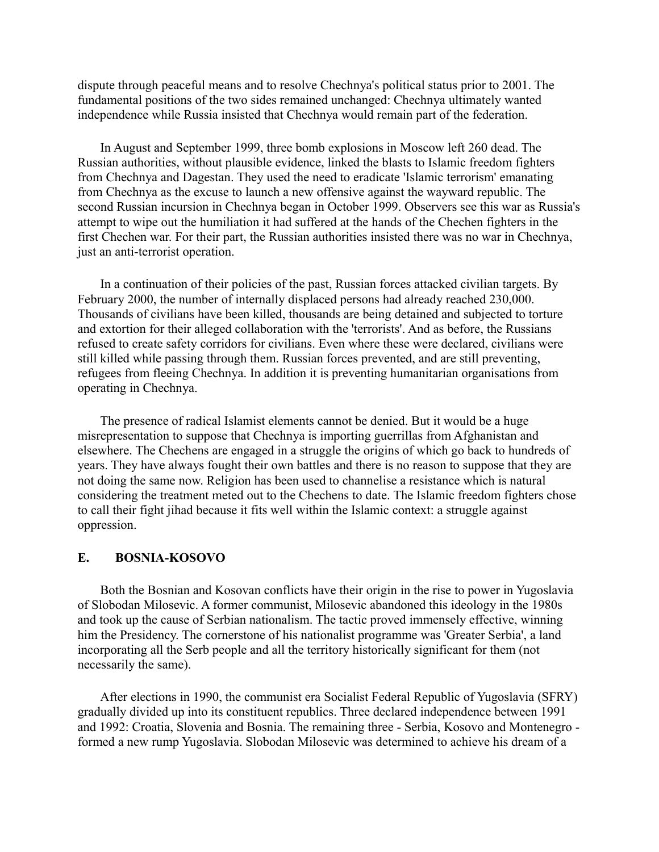dispute through peaceful means and to resolve Chechnya's political status prior to 2001. The fundamental positions of the two sides remained unchanged: Chechnya ultimately wanted independence while Russia insisted that Chechnya would remain part of the federation.

In August and September 1999, three bomb explosions in Moscow left 260 dead. The Russian authorities, without plausible evidence, linked the blasts to Islamic freedom fighters from Chechnya and Dagestan. They used the need to eradicate 'Islamic terrorism' emanating from Chechnya as the excuse to launch a new offensive against the wayward republic. The second Russian incursion in Chechnya began in October 1999. Observers see this war as Russia's attempt to wipe out the humiliation it had suffered at the hands of the Chechen fighters in the first Chechen war. For their part, the Russian authorities insisted there was no war in Chechnya, just an anti-terrorist operation.

In a continuation of their policies of the past, Russian forces attacked civilian targets. By February 2000, the number of internally displaced persons had already reached 230,000. Thousands of civilians have been killed, thousands are being detained and subjected to torture and extortion for their alleged collaboration with the 'terrorists'. And as before, the Russians refused to create safety corridors for civilians. Even where these were declared, civilians were still killed while passing through them. Russian forces prevented, and are still preventing, refugees from fleeing Chechnya. In addition it is preventing humanitarian organisations from operating in Chechnya.

The presence of radical Islamist elements cannot be denied. But it would be a huge misrepresentation to suppose that Chechnya is importing guerrillas from Afghanistan and elsewhere. The Chechens are engaged in a struggle the origins of which go back to hundreds of years. They have always fought their own battles and there is no reason to suppose that they are not doing the same now. Religion has been used to channelise a resistance which is natural considering the treatment meted out to the Chechens to date. The Islamic freedom fighters chose to call their fight jihad because it fits well within the Islamic context: a struggle against oppression.

# **E. BOSNIA-KOSOVO**

Both the Bosnian and Kosovan conflicts have their origin in the rise to power in Yugoslavia of Slobodan Milosevic. A former communist, Milosevic abandoned this ideology in the 1980s and took up the cause of Serbian nationalism. The tactic proved immensely effective, winning him the Presidency. The cornerstone of his nationalist programme was 'Greater Serbia', a land incorporating all the Serb people and all the territory historically significant for them (not necessarily the same).

After elections in 1990, the communist era Socialist Federal Republic of Yugoslavia (SFRY) gradually divided up into its constituent republics. Three declared independence between 1991 and 1992: Croatia, Slovenia and Bosnia. The remaining three - Serbia, Kosovo and Montenegro formed a new rump Yugoslavia. Slobodan Milosevic was determined to achieve his dream of a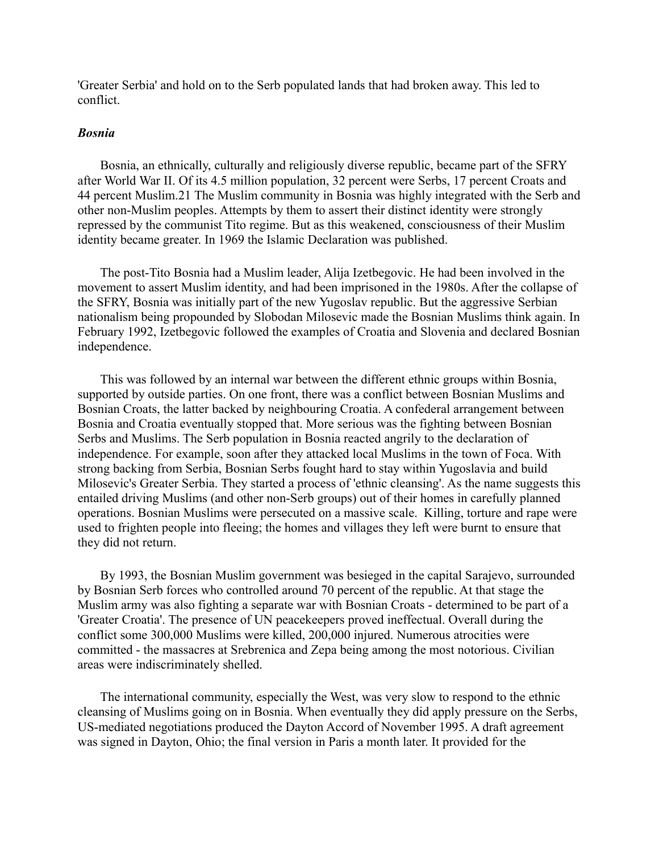'Greater Serbia' and hold on to the Serb populated lands that had broken away. This led to conflict.

### *Bosnia*

Bosnia, an ethnically, culturally and religiously diverse republic, became part of the SFRY after World War II. Of its 4.5 million population, 32 percent were Serbs, 17 percent Croats and 44 percent Muslim.21 The Muslim community in Bosnia was highly integrated with the Serb and other non-Muslim peoples. Attempts by them to assert their distinct identity were strongly repressed by the communist Tito regime. But as this weakened, consciousness of their Muslim identity became greater. In 1969 the Islamic Declaration was published.

The post-Tito Bosnia had a Muslim leader, Alija Izetbegovic. He had been involved in the movement to assert Muslim identity, and had been imprisoned in the 1980s. After the collapse of the SFRY, Bosnia was initially part of the new Yugoslav republic. But the aggressive Serbian nationalism being propounded by Slobodan Milosevic made the Bosnian Muslims think again. In February 1992, Izetbegovic followed the examples of Croatia and Slovenia and declared Bosnian independence.

This was followed by an internal war between the different ethnic groups within Bosnia, supported by outside parties. On one front, there was a conflict between Bosnian Muslims and Bosnian Croats, the latter backed by neighbouring Croatia. A confederal arrangement between Bosnia and Croatia eventually stopped that. More serious was the fighting between Bosnian Serbs and Muslims. The Serb population in Bosnia reacted angrily to the declaration of independence. For example, soon after they attacked local Muslims in the town of Foca. With strong backing from Serbia, Bosnian Serbs fought hard to stay within Yugoslavia and build Milosevic's Greater Serbia. They started a process of 'ethnic cleansing'. As the name suggests this entailed driving Muslims (and other non-Serb groups) out of their homes in carefully planned operations. Bosnian Muslims were persecuted on a massive scale. Killing, torture and rape were used to frighten people into fleeing; the homes and villages they left were burnt to ensure that they did not return.

By 1993, the Bosnian Muslim government was besieged in the capital Sarajevo, surrounded by Bosnian Serb forces who controlled around 70 percent of the republic. At that stage the Muslim army was also fighting a separate war with Bosnian Croats - determined to be part of a 'Greater Croatia'. The presence of UN peacekeepers proved ineffectual. Overall during the conflict some 300,000 Muslims were killed, 200,000 injured. Numerous atrocities were committed - the massacres at Srebrenica and Zepa being among the most notorious. Civilian areas were indiscriminately shelled.

The international community, especially the West, was very slow to respond to the ethnic cleansing of Muslims going on in Bosnia. When eventually they did apply pressure on the Serbs, US-mediated negotiations produced the Dayton Accord of November 1995. A draft agreement was signed in Dayton, Ohio; the final version in Paris a month later. It provided for the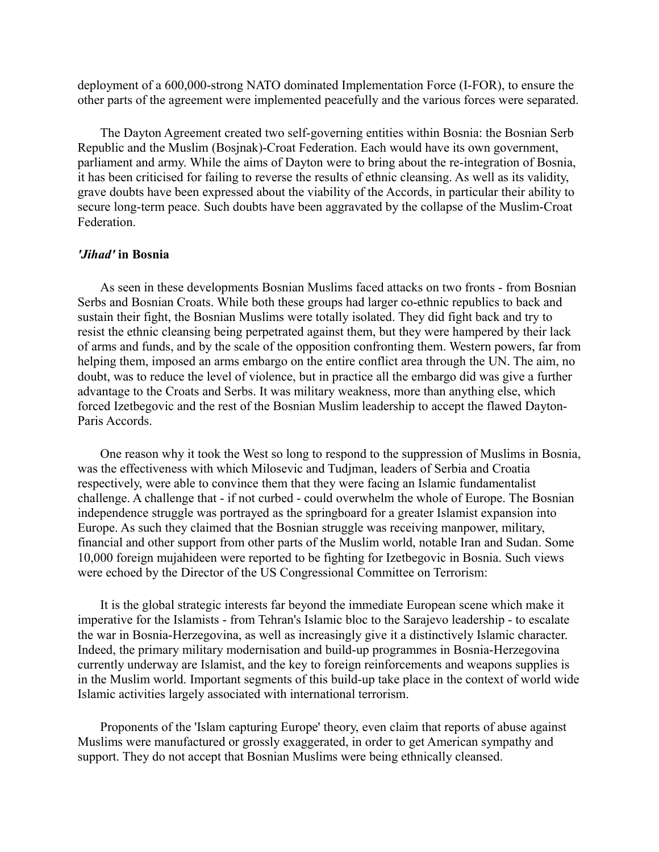deployment of a 600,000-strong NATO dominated Implementation Force (I-FOR), to ensure the other parts of the agreement were implemented peacefully and the various forces were separated.

The Dayton Agreement created two self-governing entities within Bosnia: the Bosnian Serb Republic and the Muslim (Bosjnak)-Croat Federation. Each would have its own government, parliament and army. While the aims of Dayton were to bring about the re-integration of Bosnia, it has been criticised for failing to reverse the results of ethnic cleansing. As well as its validity, grave doubts have been expressed about the viability of the Accords, in particular their ability to secure long-term peace. Such doubts have been aggravated by the collapse of the Muslim-Croat Federation.

# *'Jihad'* **in Bosnia**

As seen in these developments Bosnian Muslims faced attacks on two fronts - from Bosnian Serbs and Bosnian Croats. While both these groups had larger co-ethnic republics to back and sustain their fight, the Bosnian Muslims were totally isolated. They did fight back and try to resist the ethnic cleansing being perpetrated against them, but they were hampered by their lack of arms and funds, and by the scale of the opposition confronting them. Western powers, far from helping them, imposed an arms embargo on the entire conflict area through the UN. The aim, no doubt, was to reduce the level of violence, but in practice all the embargo did was give a further advantage to the Croats and Serbs. It was military weakness, more than anything else, which forced Izetbegovic and the rest of the Bosnian Muslim leadership to accept the flawed Dayton-Paris Accords.

One reason why it took the West so long to respond to the suppression of Muslims in Bosnia, was the effectiveness with which Milosevic and Tudjman, leaders of Serbia and Croatia respectively, were able to convince them that they were facing an Islamic fundamentalist challenge. A challenge that - if not curbed - could overwhelm the whole of Europe. The Bosnian independence struggle was portrayed as the springboard for a greater Islamist expansion into Europe. As such they claimed that the Bosnian struggle was receiving manpower, military, financial and other support from other parts of the Muslim world, notable Iran and Sudan. Some 10,000 foreign mujahideen were reported to be fighting for Izetbegovic in Bosnia. Such views were echoed by the Director of the US Congressional Committee on Terrorism:

It is the global strategic interests far beyond the immediate European scene which make it imperative for the Islamists - from Tehran's Islamic bloc to the Sarajevo leadership - to escalate the war in Bosnia-Herzegovina, as well as increasingly give it a distinctively Islamic character. Indeed, the primary military modernisation and build-up programmes in Bosnia-Herzegovina currently underway are Islamist, and the key to foreign reinforcements and weapons supplies is in the Muslim world. Important segments of this build-up take place in the context of world wide Islamic activities largely associated with international terrorism.

Proponents of the 'Islam capturing Europe' theory, even claim that reports of abuse against Muslims were manufactured or grossly exaggerated, in order to get American sympathy and support. They do not accept that Bosnian Muslims were being ethnically cleansed.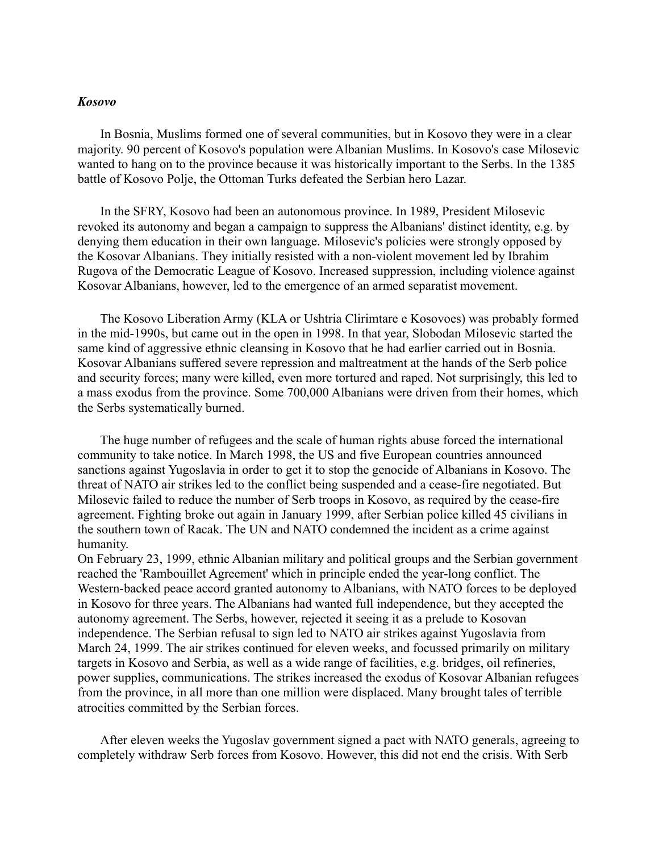### *Kosovo*

In Bosnia, Muslims formed one of several communities, but in Kosovo they were in a clear majority. 90 percent of Kosovo's population were Albanian Muslims. In Kosovo's case Milosevic wanted to hang on to the province because it was historically important to the Serbs. In the 1385 battle of Kosovo Polje, the Ottoman Turks defeated the Serbian hero Lazar.

In the SFRY, Kosovo had been an autonomous province. In 1989, President Milosevic revoked its autonomy and began a campaign to suppress the Albanians' distinct identity, e.g. by denying them education in their own language. Milosevic's policies were strongly opposed by the Kosovar Albanians. They initially resisted with a non-violent movement led by Ibrahim Rugova of the Democratic League of Kosovo. Increased suppression, including violence against Kosovar Albanians, however, led to the emergence of an armed separatist movement.

The Kosovo Liberation Army (KLA or Ushtria Clirimtare e Kosovoes) was probably formed in the mid-1990s, but came out in the open in 1998. In that year, Slobodan Milosevic started the same kind of aggressive ethnic cleansing in Kosovo that he had earlier carried out in Bosnia. Kosovar Albanians suffered severe repression and maltreatment at the hands of the Serb police and security forces; many were killed, even more tortured and raped. Not surprisingly, this led to a mass exodus from the province. Some 700,000 Albanians were driven from their homes, which the Serbs systematically burned.

The huge number of refugees and the scale of human rights abuse forced the international community to take notice. In March 1998, the US and five European countries announced sanctions against Yugoslavia in order to get it to stop the genocide of Albanians in Kosovo. The threat of NATO air strikes led to the conflict being suspended and a cease-fire negotiated. But Milosevic failed to reduce the number of Serb troops in Kosovo, as required by the cease-fire agreement. Fighting broke out again in January 1999, after Serbian police killed 45 civilians in the southern town of Racak. The UN and NATO condemned the incident as a crime against humanity.

On February 23, 1999, ethnic Albanian military and political groups and the Serbian government reached the 'Rambouillet Agreement' which in principle ended the year-long conflict. The Western-backed peace accord granted autonomy to Albanians, with NATO forces to be deployed in Kosovo for three years. The Albanians had wanted full independence, but they accepted the autonomy agreement. The Serbs, however, rejected it seeing it as a prelude to Kosovan independence. The Serbian refusal to sign led to NATO air strikes against Yugoslavia from March 24, 1999. The air strikes continued for eleven weeks, and focussed primarily on military targets in Kosovo and Serbia, as well as a wide range of facilities, e.g. bridges, oil refineries, power supplies, communications. The strikes increased the exodus of Kosovar Albanian refugees from the province, in all more than one million were displaced. Many brought tales of terrible atrocities committed by the Serbian forces.

After eleven weeks the Yugoslav government signed a pact with NATO generals, agreeing to completely withdraw Serb forces from Kosovo. However, this did not end the crisis. With Serb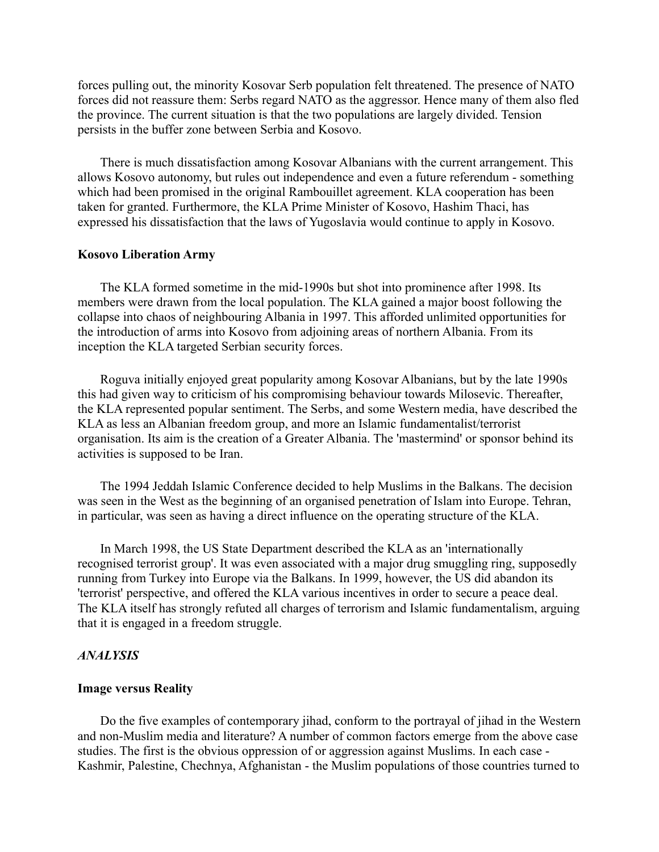forces pulling out, the minority Kosovar Serb population felt threatened. The presence of NATO forces did not reassure them: Serbs regard NATO as the aggressor. Hence many of them also fled the province. The current situation is that the two populations are largely divided. Tension persists in the buffer zone between Serbia and Kosovo.

There is much dissatisfaction among Kosovar Albanians with the current arrangement. This allows Kosovo autonomy, but rules out independence and even a future referendum - something which had been promised in the original Rambouillet agreement. KLA cooperation has been taken for granted. Furthermore, the KLA Prime Minister of Kosovo, Hashim Thaci, has expressed his dissatisfaction that the laws of Yugoslavia would continue to apply in Kosovo.

### **Kosovo Liberation Army**

The KLA formed sometime in the mid-1990s but shot into prominence after 1998. Its members were drawn from the local population. The KLA gained a major boost following the collapse into chaos of neighbouring Albania in 1997. This afforded unlimited opportunities for the introduction of arms into Kosovo from adjoining areas of northern Albania. From its inception the KLA targeted Serbian security forces.

Roguva initially enjoyed great popularity among Kosovar Albanians, but by the late 1990s this had given way to criticism of his compromising behaviour towards Milosevic. Thereafter, the KLA represented popular sentiment. The Serbs, and some Western media, have described the KLA as less an Albanian freedom group, and more an Islamic fundamentalist/terrorist organisation. Its aim is the creation of a Greater Albania. The 'mastermind' or sponsor behind its activities is supposed to be Iran.

The 1994 Jeddah Islamic Conference decided to help Muslims in the Balkans. The decision was seen in the West as the beginning of an organised penetration of Islam into Europe. Tehran, in particular, was seen as having a direct influence on the operating structure of the KLA.

In March 1998, the US State Department described the KLA as an 'internationally recognised terrorist group'. It was even associated with a major drug smuggling ring, supposedly running from Turkey into Europe via the Balkans. In 1999, however, the US did abandon its 'terrorist' perspective, and offered the KLA various incentives in order to secure a peace deal. The KLA itself has strongly refuted all charges of terrorism and Islamic fundamentalism, arguing that it is engaged in a freedom struggle.

### *ANALYSIS*

# **Image versus Reality**

Do the five examples of contemporary jihad, conform to the portrayal of jihad in the Western and non-Muslim media and literature? A number of common factors emerge from the above case studies. The first is the obvious oppression of or aggression against Muslims. In each case - Kashmir, Palestine, Chechnya, Afghanistan - the Muslim populations of those countries turned to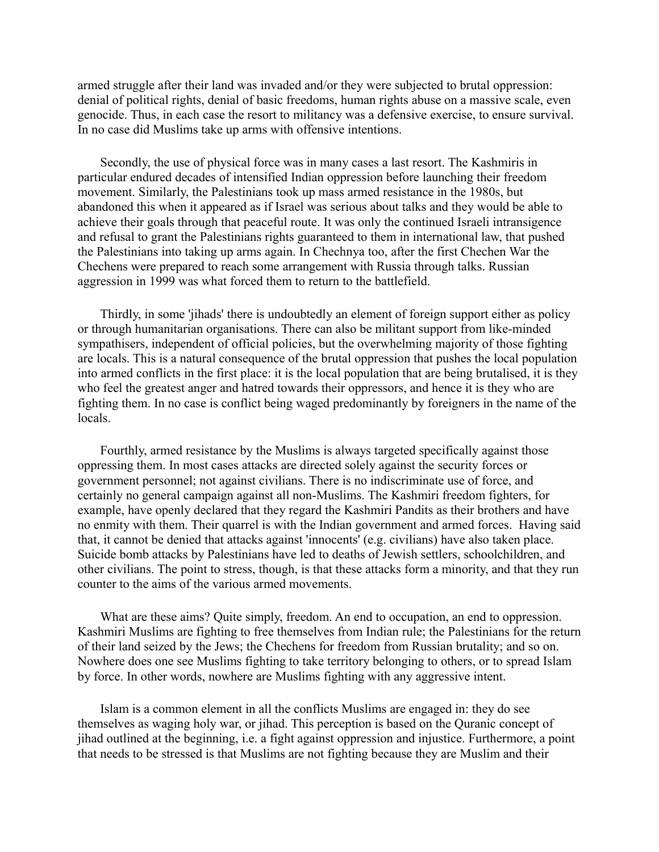armed struggle after their land was invaded and/or they were subjected to brutal oppression: denial of political rights, denial of basic freedoms, human rights abuse on a massive scale, even genocide. Thus, in each case the resort to militancy was a defensive exercise, to ensure survival. In no case did Muslims take up arms with offensive intentions.

Secondly, the use of physical force was in many cases a last resort. The Kashmiris in particular endured decades of intensified Indian oppression before launching their freedom movement. Similarly, the Palestinians took up mass armed resistance in the 1980s, but abandoned this when it appeared as if Israel was serious about talks and they would be able to achieve their goals through that peaceful route. It was only the continued Israeli intransigence and refusal to grant the Palestinians rights guaranteed to them in international law, that pushed the Palestinians into taking up arms again. In Chechnya too, after the first Chechen War the Chechens were prepared to reach some arrangement with Russia through talks. Russian aggression in 1999 was what forced them to return to the battlefield.

Thirdly, in some 'jihads' there is undoubtedly an element of foreign support either as policy or through humanitarian organisations. There can also be militant support from like-minded sympathisers, independent of official policies, but the overwhelming majority of those fighting are locals. This is a natural consequence of the brutal oppression that pushes the local population into armed conflicts in the first place: it is the local population that are being brutalised, it is they who feel the greatest anger and hatred towards their oppressors, and hence it is they who are fighting them. In no case is conflict being waged predominantly by foreigners in the name of the locals.

Fourthly, armed resistance by the Muslims is always targeted specifically against those oppressing them. In most cases attacks are directed solely against the security forces or government personnel; not against civilians. There is no indiscriminate use of force, and certainly no general campaign against all non-Muslims. The Kashmiri freedom fighters, for example, have openly declared that they regard the Kashmiri Pandits as their brothers and have no enmity with them. Their quarrel is with the Indian government and armed forces. Having said that, it cannot be denied that attacks against 'innocents' (e.g. civilians) have also taken place. Suicide bomb attacks by Palestinians have led to deaths of Jewish settlers, schoolchildren, and other civilians. The point to stress, though, is that these attacks form a minority, and that they run counter to the aims of the various armed movements.

What are these aims? Quite simply, freedom. An end to occupation, an end to oppression. Kashmiri Muslims are fighting to free themselves from Indian rule; the Palestinians for the return of their land seized by the Jews; the Chechens for freedom from Russian brutality; and so on. Nowhere does one see Muslims fighting to take territory belonging to others, or to spread Islam by force. In other words, nowhere are Muslims fighting with any aggressive intent.

Islam is a common element in all the conflicts Muslims are engaged in: they do see themselves as waging holy war, or jihad. This perception is based on the Quranic concept of jihad outlined at the beginning, i.e. a fight against oppression and injustice. Furthermore, a point that needs to be stressed is that Muslims are not fighting because they are Muslim and their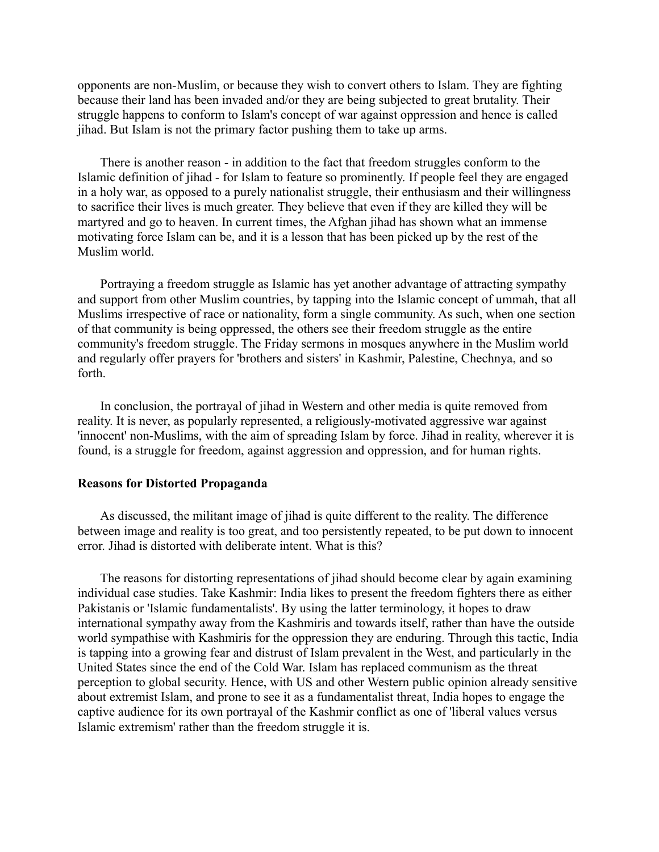opponents are non-Muslim, or because they wish to convert others to Islam. They are fighting because their land has been invaded and/or they are being subjected to great brutality. Their struggle happens to conform to Islam's concept of war against oppression and hence is called jihad. But Islam is not the primary factor pushing them to take up arms.

There is another reason - in addition to the fact that freedom struggles conform to the Islamic definition of jihad - for Islam to feature so prominently. If people feel they are engaged in a holy war, as opposed to a purely nationalist struggle, their enthusiasm and their willingness to sacrifice their lives is much greater. They believe that even if they are killed they will be martyred and go to heaven. In current times, the Afghan jihad has shown what an immense motivating force Islam can be, and it is a lesson that has been picked up by the rest of the Muslim world.

Portraying a freedom struggle as Islamic has yet another advantage of attracting sympathy and support from other Muslim countries, by tapping into the Islamic concept of ummah, that all Muslims irrespective of race or nationality, form a single community. As such, when one section of that community is being oppressed, the others see their freedom struggle as the entire community's freedom struggle. The Friday sermons in mosques anywhere in the Muslim world and regularly offer prayers for 'brothers and sisters' in Kashmir, Palestine, Chechnya, and so forth.

In conclusion, the portrayal of jihad in Western and other media is quite removed from reality. It is never, as popularly represented, a religiously-motivated aggressive war against 'innocent' non-Muslims, with the aim of spreading Islam by force. Jihad in reality, wherever it is found, is a struggle for freedom, against aggression and oppression, and for human rights.

#### **Reasons for Distorted Propaganda**

As discussed, the militant image of jihad is quite different to the reality. The difference between image and reality is too great, and too persistently repeated, to be put down to innocent error. Jihad is distorted with deliberate intent. What is this?

The reasons for distorting representations of jihad should become clear by again examining individual case studies. Take Kashmir: India likes to present the freedom fighters there as either Pakistanis or 'Islamic fundamentalists'. By using the latter terminology, it hopes to draw international sympathy away from the Kashmiris and towards itself, rather than have the outside world sympathise with Kashmiris for the oppression they are enduring. Through this tactic, India is tapping into a growing fear and distrust of Islam prevalent in the West, and particularly in the United States since the end of the Cold War. Islam has replaced communism as the threat perception to global security. Hence, with US and other Western public opinion already sensitive about extremist Islam, and prone to see it as a fundamentalist threat, India hopes to engage the captive audience for its own portrayal of the Kashmir conflict as one of 'liberal values versus Islamic extremism' rather than the freedom struggle it is.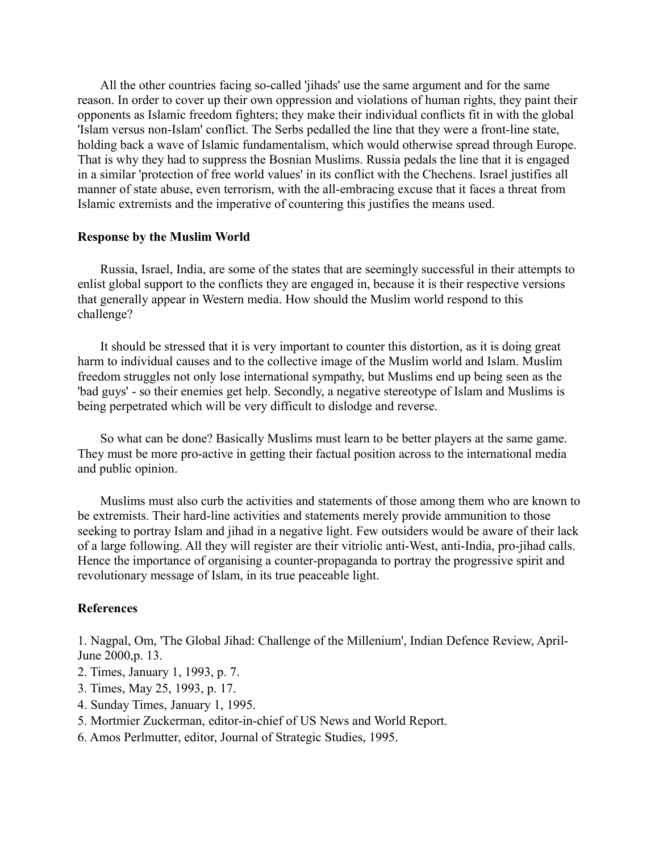All the other countries facing so-called 'jihads' use the same argument and for the same reason. In order to cover up their own oppression and violations of human rights, they paint their opponents as Islamic freedom fighters; they make their individual conflicts fit in with the global 'Islam versus non-Islam' conflict. The Serbs pedalled the line that they were a front-line state, holding back a wave of Islamic fundamentalism, which would otherwise spread through Europe. That is why they had to suppress the Bosnian Muslims. Russia pedals the line that it is engaged in a similar 'protection of free world values' in its conflict with the Chechens. Israel justifies all manner of state abuse, even terrorism, with the all-embracing excuse that it faces a threat from Islamic extremists and the imperative of countering this justifies the means used.

### **Response by the Muslim World**

Russia, Israel, India, are some of the states that are seemingly successful in their attempts to enlist global support to the conflicts they are engaged in, because it is their respective versions that generally appear in Western media. How should the Muslim world respond to this challenge?

It should be stressed that it is very important to counter this distortion, as it is doing great harm to individual causes and to the collective image of the Muslim world and Islam. Muslim freedom struggles not only lose international sympathy, but Muslims end up being seen as the 'bad guys' - so their enemies get help. Secondly, a negative stereotype of Islam and Muslims is being perpetrated which will be very difficult to dislodge and reverse.

So what can be done? Basically Muslims must learn to be better players at the same game. They must be more pro-active in getting their factual position across to the international media and public opinion.

Muslims must also curb the activities and statements of those among them who are known to be extremists. Their hard-line activities and statements merely provide ammunition to those seeking to portray Islam and jihad in a negative light. Few outsiders would be aware of their lack of a large following. All they will register are their vitriolic anti-West, anti-India, pro-jihad calls. Hence the importance of organising a counter-propaganda to portray the progressive spirit and revolutionary message of Islam, in its true peaceable light.

# **References**

1. Nagpal, Om, 'The Global Jihad: Challenge of the Millenium', Indian Defence Review, April-June 2000,p. 13.

- 2. Times, January 1, 1993, p. 7.
- 3. Times, May 25, 1993, p. 17.
- 4. Sunday Times, January 1, 1995.
- 5. Mortmier Zuckerman, editor-in-chief of US News and World Report.
- 6. Amos Perlmutter, editor, Journal of Strategic Studies, 1995.